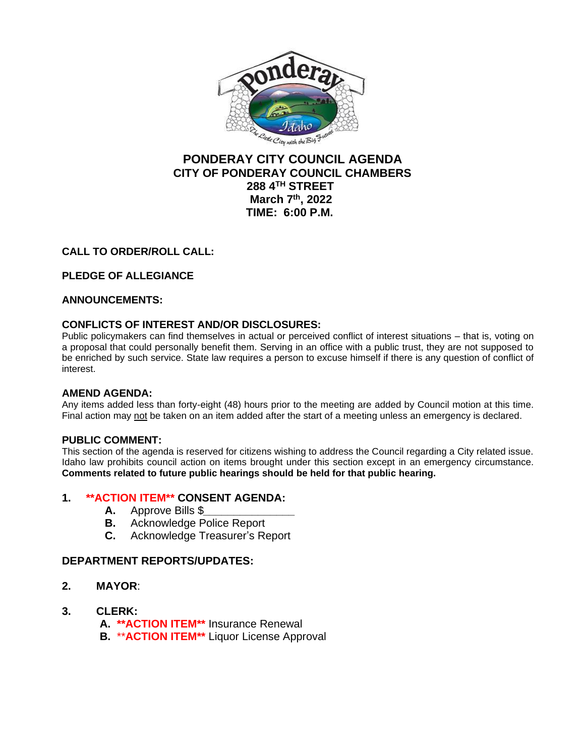

# **PONDERAY CITY COUNCIL AGENDA CITY OF PONDERAY COUNCIL CHAMBERS 288 4TH STREET March 7th, 2022 TIME: 6:00 P.M.**

## **CALL TO ORDER/ROLL CALL:**

## **PLEDGE OF ALLEGIANCE**

#### **ANNOUNCEMENTS:**

#### **CONFLICTS OF INTEREST AND/OR DISCLOSURES:**

Public policymakers can find themselves in actual or perceived conflict of interest situations – that is, voting on a proposal that could personally benefit them. Serving in an office with a public trust, they are not supposed to be enriched by such service. State law requires a person to excuse himself if there is any question of conflict of interest.

#### **AMEND AGENDA:**

Any items added less than forty-eight (48) hours prior to the meeting are added by Council motion at this time. Final action may not be taken on an item added after the start of a meeting unless an emergency is declared.

#### **PUBLIC COMMENT:**

This section of the agenda is reserved for citizens wishing to address the Council regarding a City related issue. Idaho law prohibits council action on items brought under this section except in an emergency circumstance. **Comments related to future public hearings should be held for that public hearing.**

#### **1. \*\*ACTION ITEM\*\* CONSENT AGENDA:**

- **A.** Approve Bills \$*\_\_\_\_\_\_\_\_\_\_\_\_\_\_\_*
- **B.** Acknowledge Police Report
- **C.** Acknowledge Treasurer's Report

#### **DEPARTMENT REPORTS/UPDATES:**

- **2. MAYOR**:
- **3. CLERK:**
	- **A. \*\*ACTION ITEM\*\*** Insurance Renewal
	- **B.** \*\***ACTION ITEM\*\*** Liquor License Approval